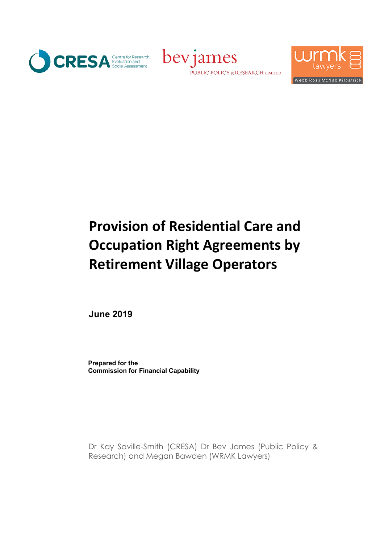





# **Provision of Residential Care and Occupation Right Agreements by Retirement Village Operators**

**June 2019**

**Prepared for the Commission for Financial Capability**

Dr Kay Saville-Smith (CRESA) Dr Bev James (Public Policy & Research) and Megan Bawden (WRMK Lawyers)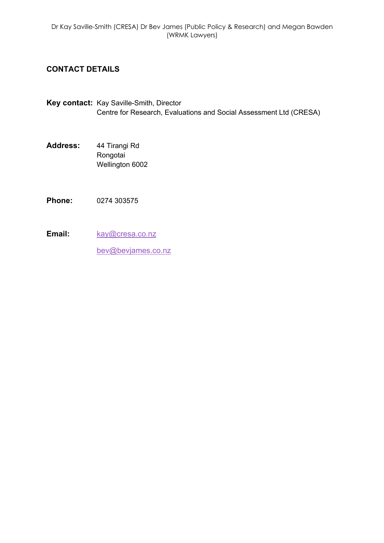## **CONTACT DETAILS**

- **Key contact:** Kay Saville-Smith, Director Centre for Research, Evaluations and Social Assessment Ltd (CRESA)
- **Address:** 44 Tirangi Rd Rongotai Wellington 6002
- **Phone:** 0274 303575
- Email: kay@cresa.co.nz

bev@bevjames.co.nz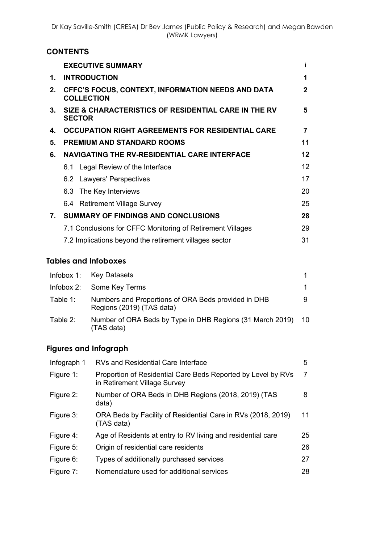# **CONTENTS**

|                                | <b>EXECUTIVE SUMMARY</b>                                                      | i            |
|--------------------------------|-------------------------------------------------------------------------------|--------------|
| 1.                             | <b>INTRODUCTION</b>                                                           | 1            |
| 2.                             | <b>CFFC'S FOCUS, CONTEXT, INFORMATION NEEDS AND DATA</b><br><b>COLLECTION</b> | $\mathbf{2}$ |
| $3_{-}$                        | SIZE & CHARACTERISTICS OF RESIDENTIAL CARE IN THE RV<br><b>SECTOR</b>         | 5            |
| 4.                             | <b>OCCUPATION RIGHT AGREEMENTS FOR RESIDENTIAL CARE</b>                       | 7            |
| 5.                             | <b>PREMIUM AND STANDARD ROOMS</b>                                             | 11           |
| 6.                             | <b>NAVIGATING THE RV-RESIDENTIAL CARE INTERFACE</b>                           | 12           |
|                                | 6.1 Legal Review of the Interface                                             | 12           |
|                                | 6.2 Lawyers' Perspectives                                                     | 17           |
|                                | 6.3 The Key Interviews                                                        | 20           |
|                                | 6.4 Retirement Village Survey                                                 | 25           |
| $7_{\scriptscriptstyle{\sim}}$ | <b>SUMMARY OF FINDINGS AND CONCLUSIONS</b>                                    | 28           |
|                                | 7.1 Conclusions for CFFC Monitoring of Retirement Villages                    | 29           |
|                                | 7.2 Implications beyond the retirement villages sector                        | 31           |

## **Tables and Infoboxes**

|          | Infobox 1: Key Datasets                                                          |    |
|----------|----------------------------------------------------------------------------------|----|
|          | Infobox 2: Some Key Terms                                                        | 1. |
| Table 1: | Numbers and Proportions of ORA Beds provided in DHB<br>Regions (2019) (TAS data) | 9  |
| Table 2: | Number of ORA Beds by Type in DHB Regions (31 March 2019) 10<br>(TAS data)       |    |

# **Figures and Infograph**

| Infograph 1 | <b>RVs and Residential Care Interface</b>                                                    | 5  |
|-------------|----------------------------------------------------------------------------------------------|----|
| Figure 1:   | Proportion of Residential Care Beds Reported by Level by RVs<br>in Retirement Village Survey | 7  |
| Figure 2:   | Number of ORA Beds in DHB Regions (2018, 2019) (TAS<br>data)                                 | 8  |
| Figure 3:   | ORA Beds by Facility of Residential Care in RVs (2018, 2019)<br>(TAS data)                   | 11 |
| Figure 4:   | Age of Residents at entry to RV living and residential care                                  | 25 |
| Figure 5:   | Origin of residential care residents                                                         | 26 |
| Figure 6:   | Types of additionally purchased services                                                     | 27 |
| Figure 7:   | Nomenclature used for additional services                                                    | 28 |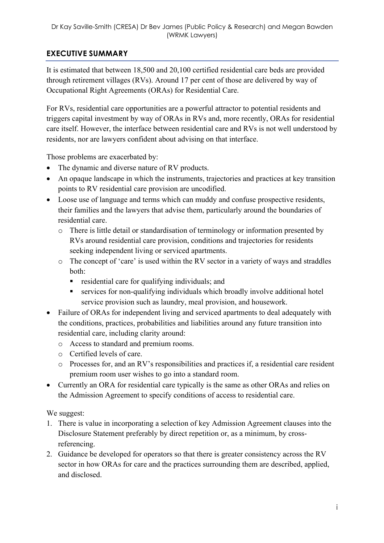# **EXECUTIVE SUMMARY**

It is estimated that between 18,500 and 20,100 certified residential care beds are provided through retirement villages (RVs). Around 17 per cent of those are delivered by way of Occupational Right Agreements (ORAs) for Residential Care.

For RVs, residential care opportunities are a powerful attractor to potential residents and triggers capital investment by way of ORAs in RVs and, more recently, ORAs for residential care itself. However, the interface between residential care and RVs is not well understood by residents, nor are lawyers confident about advising on that interface.

Those problems are exacerbated by:

- The dynamic and diverse nature of RV products.
- An opaque landscape in which the instruments, trajectories and practices at key transition points to RV residential care provision are uncodified.
- Loose use of language and terms which can muddy and confuse prospective residents, their families and the lawyers that advise them, particularly around the boundaries of residential care.
	- o There is little detail or standardisation of terminology or information presented by RVs around residential care provision, conditions and trajectories for residents seeking independent living or serviced apartments.
	- o The concept of 'care' is used within the RV sector in a variety of ways and straddles both:
		- residential care for qualifying individuals; and
		- services for non-qualifying individuals which broadly involve additional hotel service provision such as laundry, meal provision, and housework.
- Failure of ORAs for independent living and serviced apartments to deal adequately with the conditions, practices, probabilities and liabilities around any future transition into residential care, including clarity around:
	- o Access to standard and premium rooms.
	- o Certified levels of care.
	- o Processes for, and an RV's responsibilities and practices if, a residential care resident premium room user wishes to go into a standard room.
- Currently an ORA for residential care typically is the same as other ORAs and relies on the Admission Agreement to specify conditions of access to residential care.

We suggest:

- 1. There is value in incorporating a selection of key Admission Agreement clauses into the Disclosure Statement preferably by direct repetition or, as a minimum, by crossreferencing.
- 2. Guidance be developed for operators so that there is greater consistency across the RV sector in how ORAs for care and the practices surrounding them are described, applied, and disclosed.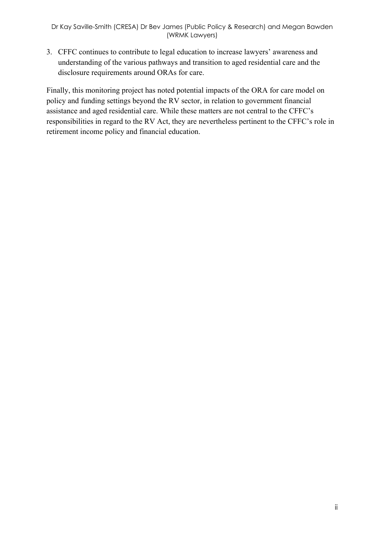3. CFFC continues to contribute to legal education to increase lawyers' awareness and understanding of the various pathways and transition to aged residential care and the disclosure requirements around ORAs for care.

Finally, this monitoring project has noted potential impacts of the ORA for care model on policy and funding settings beyond the RV sector, in relation to government financial assistance and aged residential care. While these matters are not central to the CFFC's responsibilities in regard to the RV Act, they are nevertheless pertinent to the CFFC's role in retirement income policy and financial education.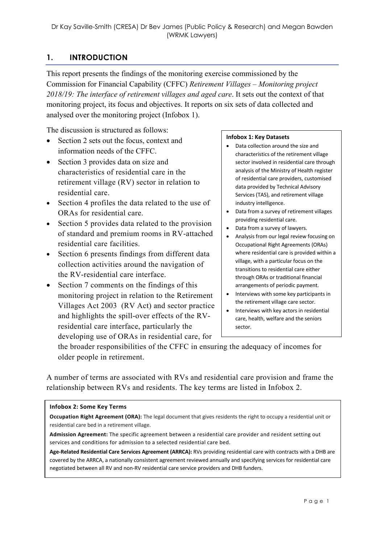# **1. INTRODUCTION**

This report presents the findings of the monitoring exercise commissioned by the Commission for Financial Capability (CFFC) *Retirement Villages – Monitoring project 2018/19: The interface of retirement villages and aged care*. It sets out the context of that monitoring project, its focus and objectives. It reports on six sets of data collected and analysed over the monitoring project (Infobox 1).

The discussion is structured as follows:

- Section 2 sets out the focus, context and information needs of the CFFC.
- Section 3 provides data on size and characteristics of residential care in the retirement village (RV) sector in relation to residential care.
- Section 4 profiles the data related to the use of ORAs for residential care.
- Section 5 provides data related to the provision of standard and premium rooms in RV-attached residential care facilities.
- Section 6 presents findings from different data collection activities around the navigation of the RV-residential care interface.
- Section 7 comments on the findings of this monitoring project in relation to the Retirement Villages Act 2003 (RV Act) and sector practice and highlights the spill-over effects of the RVresidential care interface, particularly the developing use of ORAs in residential care, for

#### **Infobox 1: Key Datasets**

- Data collection around the size and characteristics of the retirement village sector involved in residential care through analysis of the Ministry of Health register of residential care providers, customised data provided by Technical Advisory Services (TAS), and retirement village industry intelligence.
- Data from a survey of retirement villages providing residential care.
- Data from a survey of lawyers.
- Analysis from our legal review focusing on Occupational Right Agreements (ORAs) where residential care is provided within a village, with a particular focus on the transitions to residential care either through ORAs or traditional financial arrangements of periodic payment.
- Interviews with some key participants in the retirement village care sector.
- Interviews with key actors in residential care, health, welfare and the seniors sector.

the broader responsibilities of the CFFC in ensuring the adequacy of incomes for older people in retirement.

A number of terms are associated with RVs and residential care provision and frame the relationship between RVs and residents. The key terms are listed in Infobox 2.

#### **Infobox 2: Some Key Terms**

**Occupation Right Agreement (ORA):** The legal document that gives residents the right to occupy a residential unit or residential care bed in a retirement village.

**Admission Agreement:** The specific agreement between a residential care provider and resident setting out services and conditions for admission to a selected residential care bed.

**Age-Related Residential Care Services Agreement (ARRCA):** RVs providing residential care with contracts with a DHB are covered by the ARRCA, a nationally consistent agreement reviewed annually and specifying services for residential care negotiated between all RV and non-RV residential care service providers and DHB funders.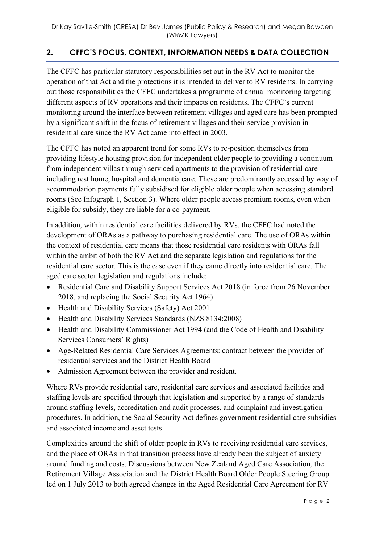# **2. CFFC'S FOCUS, CONTEXT, INFORMATION NEEDS & DATA COLLECTION**

The CFFC has particular statutory responsibilities set out in the RV Act to monitor the operation of that Act and the protections it is intended to deliver to RV residents. In carrying out those responsibilities the CFFC undertakes a programme of annual monitoring targeting different aspects of RV operations and their impacts on residents. The CFFC's current monitoring around the interface between retirement villages and aged care has been prompted by a significant shift in the focus of retirement villages and their service provision in residential care since the RV Act came into effect in 2003.

The CFFC has noted an apparent trend for some RVs to re-position themselves from providing lifestyle housing provision for independent older people to providing a continuum from independent villas through serviced apartments to the provision of residential care including rest home, hospital and dementia care. These are predominantly accessed by way of accommodation payments fully subsidised for eligible older people when accessing standard rooms (See Infograph 1, Section 3). Where older people access premium rooms, even when eligible for subsidy, they are liable for a co-payment.

In addition, within residential care facilities delivered by RVs, the CFFC had noted the development of ORAs as a pathway to purchasing residential care. The use of ORAs within the context of residential care means that those residential care residents with ORAs fall within the ambit of both the RV Act and the separate legislation and regulations for the residential care sector. This is the case even if they came directly into residential care. The aged care sector legislation and regulations include:

- Residential Care and Disability Support Services Act 2018 (in force from 26 November 2018, and replacing the Social Security Act 1964)
- Health and Disability Services (Safety) Act 2001
- Health and Disability Services Standards (NZS 8134:2008)
- Health and Disability Commissioner Act 1994 (and the Code of Health and Disability Services Consumers' Rights)
- Age-Related Residential Care Services Agreements: contract between the provider of residential services and the District Health Board
- Admission Agreement between the provider and resident.

Where RVs provide residential care, residential care services and associated facilities and staffing levels are specified through that legislation and supported by a range of standards around staffing levels, accreditation and audit processes, and complaint and investigation procedures. In addition, the Social Security Act defines government residential care subsidies and associated income and asset tests.

Complexities around the shift of older people in RVs to receiving residential care services, and the place of ORAs in that transition process have already been the subject of anxiety around funding and costs. Discussions between New Zealand Aged Care Association, the Retirement Village Association and the District Health Board Older People Steering Group led on 1 July 2013 to both agreed changes in the Aged Residential Care Agreement for RV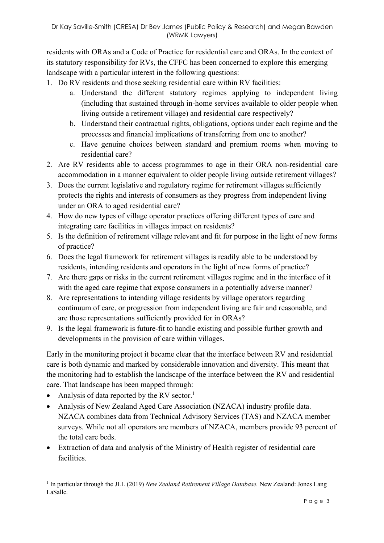residents with ORAs and a Code of Practice for residential care and ORAs. In the context of its statutory responsibility for RVs, the CFFC has been concerned to explore this emerging landscape with a particular interest in the following questions:

- 1. Do RV residents and those seeking residential care within RV facilities:
	- a. Understand the different statutory regimes applying to independent living (including that sustained through in-home services available to older people when living outside a retirement village) and residential care respectively?
	- b. Understand their contractual rights, obligations, options under each regime and the processes and financial implications of transferring from one to another?
	- c. Have genuine choices between standard and premium rooms when moving to residential care?
- 2. Are RV residents able to access programmes to age in their ORA non-residential care accommodation in a manner equivalent to older people living outside retirement villages?
- 3. Does the current legislative and regulatory regime for retirement villages sufficiently protects the rights and interests of consumers as they progress from independent living under an ORA to aged residential care?
- 4. How do new types of village operator practices offering different types of care and integrating care facilities in villages impact on residents?
- 5. Is the definition of retirement village relevant and fit for purpose in the light of new forms of practice?
- 6. Does the legal framework for retirement villages is readily able to be understood by residents, intending residents and operators in the light of new forms of practice?
- 7. Are there gaps or risks in the current retirement villages regime and in the interface of it with the aged care regime that expose consumers in a potentially adverse manner?
- 8. Are representations to intending village residents by village operators regarding continuum of care, or progression from independent living are fair and reasonable, and are those representations sufficiently provided for in ORAs?
- 9. Is the legal framework is future-fit to handle existing and possible further growth and developments in the provision of care within villages.

Early in the monitoring project it became clear that the interface between RV and residential care is both dynamic and marked by considerable innovation and diversity. This meant that the monitoring had to establish the landscape of the interface between the RV and residential care. That landscape has been mapped through:

• Analysis of data reported by the RV sector.<sup>1</sup>

- Analysis of New Zealand Aged Care Association (NZACA) industry profile data. NZACA combines data from Technical Advisory Services (TAS) and NZACA member surveys. While not all operators are members of NZACA, members provide 93 percent of the total care beds.
- Extraction of data and analysis of the Ministry of Health register of residential care facilities.

<sup>&</sup>lt;sup>1</sup> In particular through the JLL (2019) *New Zealand Retirement Village Database*. New Zealand: Jones Lang LaSalle.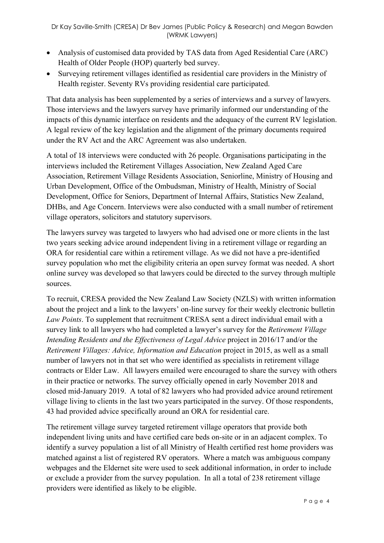- Analysis of customised data provided by TAS data from Aged Residential Care (ARC) Health of Older People (HOP) quarterly bed survey.
- Surveying retirement villages identified as residential care providers in the Ministry of Health register. Seventy RVs providing residential care participated.

That data analysis has been supplemented by a series of interviews and a survey of lawyers. Those interviews and the lawyers survey have primarily informed our understanding of the impacts of this dynamic interface on residents and the adequacy of the current RV legislation. A legal review of the key legislation and the alignment of the primary documents required under the RV Act and the ARC Agreement was also undertaken.

A total of 18 interviews were conducted with 26 people. Organisations participating in the interviews included the Retirement Villages Association, New Zealand Aged Care Association, Retirement Village Residents Association, Seniorline, Ministry of Housing and Urban Development, Office of the Ombudsman, Ministry of Health, Ministry of Social Development, Office for Seniors, Department of Internal Affairs, Statistics New Zealand, DHBs, and Age Concern. Interviews were also conducted with a small number of retirement village operators, solicitors and statutory supervisors.

The lawyers survey was targeted to lawyers who had advised one or more clients in the last two years seeking advice around independent living in a retirement village or regarding an ORA for residential care within a retirement village. As we did not have a pre-identified survey population who met the eligibility criteria an open survey format was needed. A short online survey was developed so that lawyers could be directed to the survey through multiple sources.

To recruit, CRESA provided the New Zealand Law Society (NZLS) with written information about the project and a link to the lawyers' on-line survey for their weekly electronic bulletin *Law Points*. To supplement that recruitment CRESA sent a direct individual email with a survey link to all lawyers who had completed a lawyer's survey for the *Retirement Village Intending Residents and the Effectiveness of Legal Advice* project in 2016/17 and/or the *Retirement Villages: Advice, Information and Education* project in 2015, as well as a small number of lawyers not in that set who were identified as specialists in retirement village contracts or Elder Law. All lawyers emailed were encouraged to share the survey with others in their practice or networks. The survey officially opened in early November 2018 and closed mid-January 2019. A total of 82 lawyers who had provided advice around retirement village living to clients in the last two years participated in the survey. Of those respondents, 43 had provided advice specifically around an ORA for residential care.

The retirement village survey targeted retirement village operators that provide both independent living units and have certified care beds on-site or in an adjacent complex. To identify a survey population a list of all Ministry of Health certified rest home providers was matched against a list of registered RV operators. Where a match was ambiguous company webpages and the Eldernet site were used to seek additional information, in order to include or exclude a provider from the survey population. In all a total of 238 retirement village providers were identified as likely to be eligible.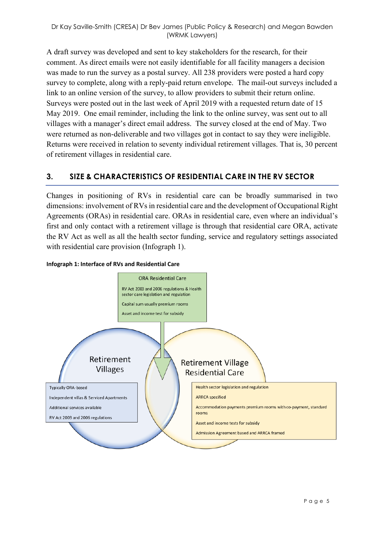A draft survey was developed and sent to key stakeholders for the research, for their comment. As direct emails were not easily identifiable for all facility managers a decision was made to run the survey as a postal survey. All 238 providers were posted a hard copy survey to complete, along with a reply-paid return envelope. The mail-out surveys included a link to an online version of the survey, to allow providers to submit their return online. Surveys were posted out in the last week of April 2019 with a requested return date of 15 May 2019. One email reminder, including the link to the online survey, was sent out to all villages with a manager's direct email address. The survey closed at the end of May. Two were returned as non-deliverable and two villages got in contact to say they were ineligible. Returns were received in relation to seventy individual retirement villages. That is, 30 percent of retirement villages in residential care.

## **3. SIZE & CHARACTERISTICS OF RESIDENTIAL CARE IN THE RV SECTOR**

Changes in positioning of RVs in residential care can be broadly summarised in two dimensions: involvement of RVs in residential care and the development of Occupational Right Agreements (ORAs) in residential care. ORAs in residential care, even where an individual's first and only contact with a retirement village is through that residential care ORA, activate the RV Act as well as all the health sector funding, service and regulatory settings associated with residential care provision (Infograph 1).



#### **Infograph 1: Interface of RVs and Residential Care**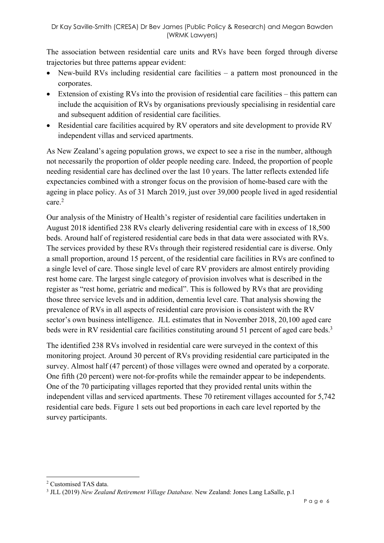The association between residential care units and RVs have been forged through diverse trajectories but three patterns appear evident:

- New-build RVs including residential care facilities a pattern most pronounced in the corporates.
- Extension of existing RVs into the provision of residential care facilities this pattern can include the acquisition of RVs by organisations previously specialising in residential care and subsequent addition of residential care facilities.
- Residential care facilities acquired by RV operators and site development to provide RV independent villas and serviced apartments.

As New Zealand's ageing population grows, we expect to see a rise in the number, although not necessarily the proportion of older people needing care. Indeed, the proportion of people needing residential care has declined over the last 10 years. The latter reflects extended life expectancies combined with a stronger focus on the provision of home-based care with the ageing in place policy. As of 31 March 2019, just over 39,000 people lived in aged residential care.2

Our analysis of the Ministry of Health's register of residential care facilities undertaken in August 2018 identified 238 RVs clearly delivering residential care with in excess of 18,500 beds. Around half of registered residential care beds in that data were associated with RVs. The services provided by these RVs through their registered residential care is diverse. Only a small proportion, around 15 percent, of the residential care facilities in RVs are confined to a single level of care. Those single level of care RV providers are almost entirely providing rest home care. The largest single category of provision involves what is described in the register as "rest home, geriatric and medical". This is followed by RVs that are providing those three service levels and in addition, dementia level care. That analysis showing the prevalence of RVs in all aspects of residential care provision is consistent with the RV sector's own business intelligence. JLL estimates that in November 2018, 20,100 aged care beds were in RV residential care facilities constituting around 51 percent of aged care beds.<sup>3</sup>

The identified 238 RVs involved in residential care were surveyed in the context of this monitoring project. Around 30 percent of RVs providing residential care participated in the survey. Almost half (47 percent) of those villages were owned and operated by a corporate. One fifth (20 percent) were not-for-profits while the remainder appear to be independents. One of the 70 participating villages reported that they provided rental units within the independent villas and serviced apartments. These 70 retirement villages accounted for 5,742 residential care beds. Figure 1 sets out bed proportions in each care level reported by the survey participants.

<sup>2</sup> Customised TAS data.

<sup>3</sup> JLL (2019) *New Zealand Retirement Village Database.* New Zealand: Jones Lang LaSalle, p.1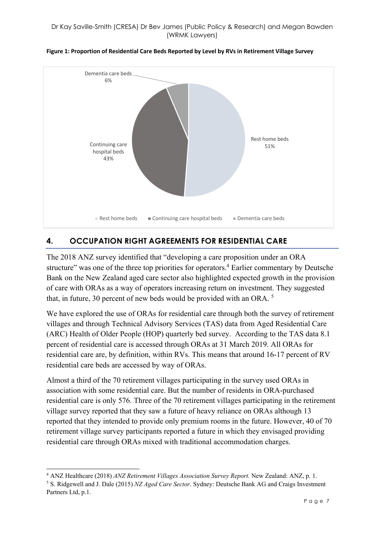

#### **Figure 1: Proportion of Residential Care Beds Reported by Level by RVs in Retirement Village Survey**

## **4. OCCUPATION RIGHT AGREEMENTS FOR RESIDENTIAL CARE**

The 2018 ANZ survey identified that "developing a care proposition under an ORA structure" was one of the three top priorities for operators.<sup>4</sup> Earlier commentary by Deutsche Bank on the New Zealand aged care sector also highlighted expected growth in the provision of care with ORAs as a way of operators increasing return on investment. They suggested that, in future, 30 percent of new beds would be provided with an ORA. <sup>5</sup>

We have explored the use of ORAs for residential care through both the survey of retirement villages and through Technical Advisory Services (TAS) data from Aged Residential Care (ARC) Health of Older People (HOP) quarterly bed survey. According to the TAS data 8.1 percent of residential care is accessed through ORAs at 31 March 2019. All ORAs for residential care are, by definition, within RVs. This means that around 16-17 percent of RV residential care beds are accessed by way of ORAs.

Almost a third of the 70 retirement villages participating in the survey used ORAs in association with some residential care. But the number of residents in ORA-purchased residential care is only 576. Three of the 70 retirement villages participating in the retirement village survey reported that they saw a future of heavy reliance on ORAs although 13 reported that they intended to provide only premium rooms in the future. However, 40 of 70 retirement village survey participants reported a future in which they envisaged providing residential care through ORAs mixed with traditional accommodation charges.

<sup>4</sup> ANZ Healthcare (2018) *ANZ Retirement Villages Association Survey Report.* New Zealand: ANZ, p. 1.

<sup>5</sup> S. Ridgewell and J. Dale (2015) *NZ Aged Care Sector*. Sydney: Deutsche Bank AG and Craigs Investment Partners Ltd, p.1.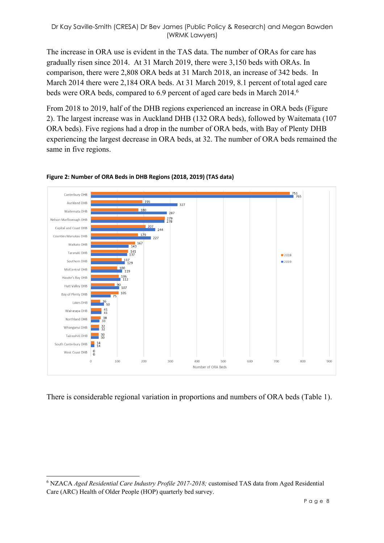#### Dr Kay Saville-Smith (CRESA) Dr Bev James (Public Policy & Research) and Megan Bawden (WRMK Lawyers)

The increase in ORA use is evident in the TAS data. The number of ORAs for care has gradually risen since 2014. At 31 March 2019, there were 3,150 beds with ORAs. In comparison, there were 2,808 ORA beds at 31 March 2018, an increase of 342 beds. In March 2014 there were 2,184 ORA beds. At 31 March 2019, 8.1 percent of total aged care beds were ORA beds, compared to 6.9 percent of aged care beds in March 2014.<sup>6</sup>

From 2018 to 2019, half of the DHB regions experienced an increase in ORA beds (Figure 2). The largest increase was in Auckland DHB (132 ORA beds), followed by Waitemata (107 ORA beds). Five regions had a drop in the number of ORA beds, with Bay of Plenty DHB experiencing the largest decrease in ORA beds, at 32. The number of ORA beds remained the same in five regions.



#### **Figure 2: Number of ORA Beds in DHB Regions (2018, 2019) (TAS data)**

There is considerable regional variation in proportions and numbers of ORA beds (Table 1).

 $\overline{a}$ 

<sup>6</sup> NZACA *Aged Residential Care Industry Profile 2017-2018;* customised TAS data from Aged Residential Care (ARC) Health of Older People (HOP) quarterly bed survey.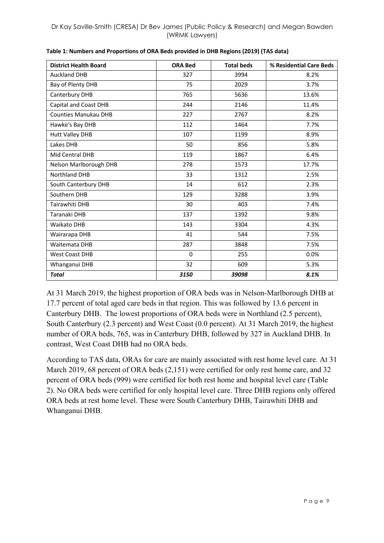| <b>District Health Board</b> | <b>ORA Bed</b> | <b>Total beds</b> | % Residential Care Beds |
|------------------------------|----------------|-------------------|-------------------------|
| <b>Auckland DHB</b>          | 327            | 3994              | 8.2%                    |
| Bay of Plenty DHB            | 75             | 2029              | 3.7%                    |
| Canterbury DHB               | 765            | 5636              | 13.6%                   |
| Capital and Coast DHB        | 244            | 2146              | 11.4%                   |
| <b>Counties Manukau DHB</b>  | 227            | 2767              | 8.2%                    |
| Hawke's Bay DHB              | 112            | 1464              | 7.7%                    |
| <b>Hutt Valley DHB</b>       | 107            | 1199              | 8.9%                    |
| Lakes DHB                    | 50             | 856               | 5.8%                    |
| Mid Central DHB              | 119            | 1867              | 6.4%                    |
| Nelson Marlborough DHB       | 278            | 1573              | 17.7%                   |
| <b>Northland DHB</b>         | 33             | 1312              | 2.5%                    |
| South Canterbury DHB         | 14             | 612               | 2.3%                    |
| Southern DHB                 | 129            | 3288              | 3.9%                    |
| Tairawhiti DHB               | 30             | 403               | 7.4%                    |
| Taranaki DHB                 | 137            | 1392              | 9.8%                    |
| Waikato DHB                  | 143            | 3304              | 4.3%                    |
| Wairarapa DHB                | 41             | 544               | 7.5%                    |
| Waitemata DHB                | 287            | 3848              | 7.5%                    |
| <b>West Coast DHB</b>        | 0              | 255               | 0.0%                    |
| Whanganui DHB                | 32             | 609               | 5.3%                    |
| <b>Total</b>                 | 3150           | 39098             | 8.1%                    |

**Table 1: Numbers and Proportions of ORA Beds provided in DHB Regions (2019) (TAS data)**

At 31 March 2019, the highest proportion of ORA beds was in Nelson-Marlborough DHB at 17.7 percent of total aged care beds in that region. This was followed by 13.6 percent in Canterbury DHB. The lowest proportions of ORA beds were in Northland (2.5 percent), South Canterbury (2.3 percent) and West Coast (0.0 percent). At 31 March 2019, the highest number of ORA beds, 765, was in Canterbury DHB, followed by 327 in Auckland DHB. In contrast, West Coast DHB had no ORA beds.

According to TAS data, ORAs for care are mainly associated with rest home level care. At 31 March 2019, 68 percent of ORA beds (2,151) were certified for only rest home care, and 32 percent of ORA beds (999) were certified for both rest home and hospital level care (Table 2). No ORA beds were certified for only hospital level care. Three DHB regions only offered ORA beds at rest home level. These were South Canterbury DHB, Tairawhiti DHB and Whanganui DHB.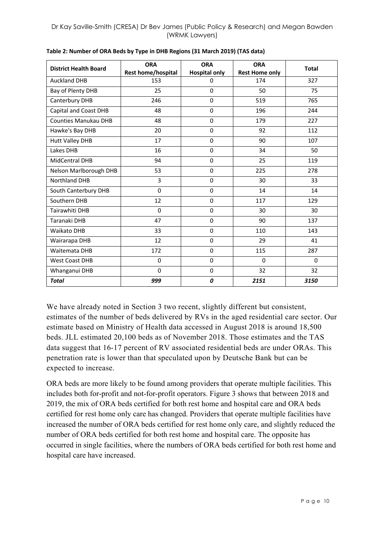| <b>District Health Board</b> | <b>ORA</b><br>Rest home/hospital | <b>ORA</b><br><b>Hospital only</b> | <b>ORA</b><br><b>Rest Home only</b> | <b>Total</b> |
|------------------------------|----------------------------------|------------------------------------|-------------------------------------|--------------|
| <b>Auckland DHB</b>          | 153                              | 0                                  | 174                                 | 327          |
| Bay of Plenty DHB            | 25                               | 0                                  | 50                                  | 75           |
| Canterbury DHB               | 246                              | 0                                  | 519                                 | 765          |
| Capital and Coast DHB        | 48                               | 0                                  | 196                                 | 244          |
| <b>Counties Manukau DHB</b>  | 48                               | 0                                  | 179                                 | 227          |
| Hawke's Bay DHB              | 20                               | 0                                  | 92                                  | 112          |
| <b>Hutt Valley DHB</b>       | 17                               | 0                                  | 90                                  | 107          |
| Lakes DHB                    | 16                               | 0                                  | 34                                  | 50           |
| MidCentral DHB               | 94                               | 0                                  | 25                                  | 119          |
| Nelson Marlborough DHB       | 53                               | 0                                  | 225                                 | 278          |
| <b>Northland DHB</b>         | 3                                | 0                                  | 30                                  | 33           |
| South Canterbury DHB         | $\Omega$                         | 0                                  | 14                                  | 14           |
| Southern DHB                 | 12                               | 0                                  | 117                                 | 129          |
| Tairawhiti DHB               | $\mathbf 0$                      | 0                                  | 30                                  | 30           |
| Taranaki DHB                 | 47                               | 0                                  | 90                                  | 137          |
| <b>Waikato DHB</b>           | 33                               | $\Omega$                           | 110                                 | 143          |
| Wairarapa DHB                | 12                               | 0                                  | 29                                  | 41           |
| Waitemata DHB                | 172                              | 0                                  | 115                                 | 287          |
| <b>West Coast DHB</b>        | $\Omega$                         | $\Omega$                           | $\Omega$                            | $\Omega$     |
| Whanganui DHB                | 0                                | 0                                  | 32                                  | 32           |
| <b>Total</b>                 | 999                              | 0                                  | 2151                                | 3150         |

**Table 2: Number of ORA Beds by Type in DHB Regions (31 March 2019) (TAS data)**

We have already noted in Section 3 two recent, slightly different but consistent, estimates of the number of beds delivered by RVs in the aged residential care sector. Our estimate based on Ministry of Health data accessed in August 2018 is around 18,500 beds. JLL estimated 20,100 beds as of November 2018. Those estimates and the TAS data suggest that 16-17 percent of RV associated residential beds are under ORAs. This penetration rate is lower than that speculated upon by Deutsche Bank but can be expected to increase.

ORA beds are more likely to be found among providers that operate multiple facilities. This includes both for-profit and not-for-profit operators. Figure 3 shows that between 2018 and 2019, the mix of ORA beds certified for both rest home and hospital care and ORA beds certified for rest home only care has changed. Providers that operate multiple facilities have increased the number of ORA beds certified for rest home only care, and slightly reduced the number of ORA beds certified for both rest home and hospital care. The opposite has occurred in single facilities, where the numbers of ORA beds certified for both rest home and hospital care have increased.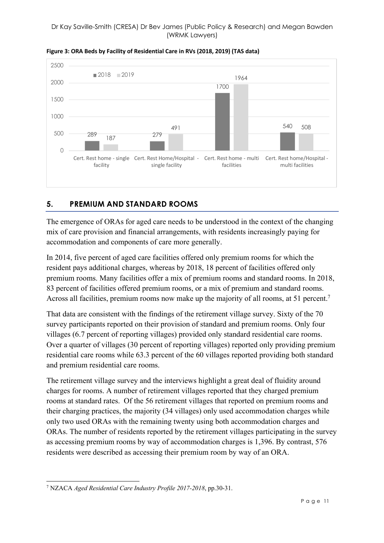#### Dr Kay Saville-Smith (CRESA) Dr Bev James (Public Policy & Research) and Megan Bawden (WRMK Lawyers)



**Figure 3: ORA Beds by Facility of Residential Care in RVs (2018, 2019) (TAS data)**

## **5. PREMIUM AND STANDARD ROOMS**

The emergence of ORAs for aged care needs to be understood in the context of the changing mix of care provision and financial arrangements, with residents increasingly paying for accommodation and components of care more generally.

In 2014, five percent of aged care facilities offered only premium rooms for which the resident pays additional charges, whereas by 2018, 18 percent of facilities offered only premium rooms. Many facilities offer a mix of premium rooms and standard rooms. In 2018, 83 percent of facilities offered premium rooms, or a mix of premium and standard rooms. Across all facilities, premium rooms now make up the majority of all rooms, at 51 percent.<sup>7</sup>

That data are consistent with the findings of the retirement village survey. Sixty of the 70 survey participants reported on their provision of standard and premium rooms. Only four villages (6.7 percent of reporting villages) provided only standard residential care rooms. Over a quarter of villages (30 percent of reporting villages) reported only providing premium residential care rooms while 63.3 percent of the 60 villages reported providing both standard and premium residential care rooms.

The retirement village survey and the interviews highlight a great deal of fluidity around charges for rooms. A number of retirement villages reported that they charged premium rooms at standard rates. Of the 56 retirement villages that reported on premium rooms and their charging practices, the majority (34 villages) only used accommodation charges while only two used ORAs with the remaining twenty using both accommodation charges and ORAs. The number of residents reported by the retirement villages participating in the survey as accessing premium rooms by way of accommodation charges is 1,396. By contrast, 576 residents were described as accessing their premium room by way of an ORA.

<sup>7</sup> NZACA *Aged Residential Care Industry Profile 2017-2018*, pp.30-31.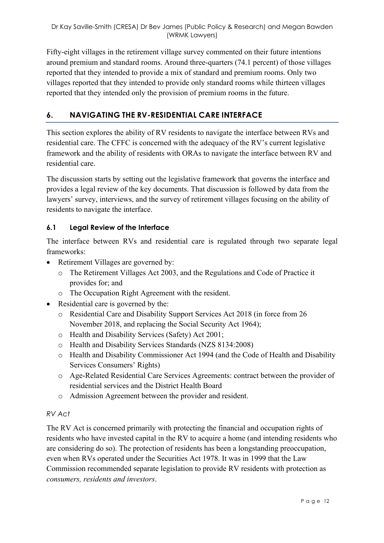Fifty-eight villages in the retirement village survey commented on their future intentions around premium and standard rooms. Around three-quarters (74.1 percent) of those villages reported that they intended to provide a mix of standard and premium rooms. Only two villages reported that they intended to provide only standard rooms while thirteen villages reported that they intended only the provision of premium rooms in the future.

# **6. NAVIGATING THE RV-RESIDENTIAL CARE INTERFACE**

This section explores the ability of RV residents to navigate the interface between RVs and residential care. The CFFC is concerned with the adequacy of the RV's current legislative framework and the ability of residents with ORAs to navigate the interface between RV and residential care.

The discussion starts by setting out the legislative framework that governs the interface and provides a legal review of the key documents. That discussion is followed by data from the lawyers' survey, interviews, and the survey of retirement villages focusing on the ability of residents to navigate the interface.

## **6.1 Legal Review of the Interface**

The interface between RVs and residential care is regulated through two separate legal frameworks:

- Retirement Villages are governed by:
	- o The Retirement Villages Act 2003, and the Regulations and Code of Practice it provides for; and
	- o The Occupation Right Agreement with the resident.
- Residential care is governed by the:
	- o Residential Care and Disability Support Services Act 2018 (in force from 26 November 2018, and replacing the Social Security Act 1964);
	- o Health and Disability Services (Safety) Act 2001;
	- o Health and Disability Services Standards (NZS 8134:2008)
	- o Health and Disability Commissioner Act 1994 (and the Code of Health and Disability Services Consumers' Rights)
	- o Age-Related Residential Care Services Agreements: contract between the provider of residential services and the District Health Board
	- o Admission Agreement between the provider and resident.

## *RV Act*

The RV Act is concerned primarily with protecting the financial and occupation rights of residents who have invested capital in the RV to acquire a home (and intending residents who are considering do so). The protection of residents has been a longstanding preoccupation, even when RVs operated under the Securities Act 1978. It was in 1999 that the Law Commission recommended separate legislation to provide RV residents with protection as *consumers, residents and investors*.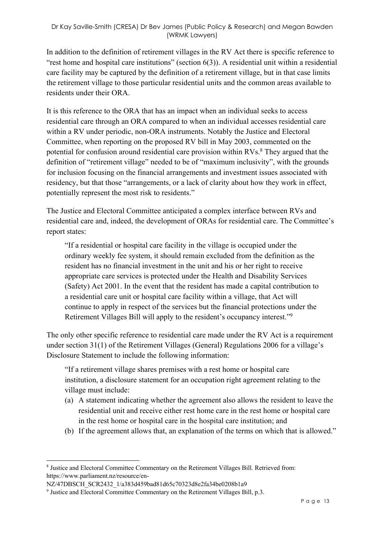In addition to the definition of retirement villages in the RV Act there is specific reference to "rest home and hospital care institutions" (section 6(3)). A residential unit within a residential care facility may be captured by the definition of a retirement village, but in that case limits the retirement village to those particular residential units and the common areas available to residents under their ORA.

It is this reference to the ORA that has an impact when an individual seeks to access residential care through an ORA compared to when an individual accesses residential care within a RV under periodic, non-ORA instruments. Notably the Justice and Electoral Committee, when reporting on the proposed RV bill in May 2003, commented on the potential for confusion around residential care provision within  $RVs$ .<sup>8</sup> They argued that the definition of "retirement village" needed to be of "maximum inclusivity", with the grounds for inclusion focusing on the financial arrangements and investment issues associated with residency, but that those "arrangements, or a lack of clarity about how they work in effect, potentially represent the most risk to residents."

The Justice and Electoral Committee anticipated a complex interface between RVs and residential care and, indeed, the development of ORAs for residential care. The Committee's report states:

"If a residential or hospital care facility in the village is occupied under the ordinary weekly fee system, it should remain excluded from the definition as the resident has no financial investment in the unit and his or her right to receive appropriate care services is protected under the Health and Disability Services (Safety) Act 2001. In the event that the resident has made a capital contribution to a residential care unit or hospital care facility within a village, that Act will continue to apply in respect of the services but the financial protections under the Retirement Villages Bill will apply to the resident's occupancy interest."9

The only other specific reference to residential care made under the RV Act is a requirement under section 31(1) of the Retirement Villages (General) Regulations 2006 for a village's Disclosure Statement to include the following information:

"If a retirement village shares premises with a rest home or hospital care institution, a disclosure statement for an occupation right agreement relating to the village must include:

- (a) A statement indicating whether the agreement also allows the resident to leave the residential unit and receive either rest home care in the rest home or hospital care in the rest home or hospital care in the hospital care institution; and
- (b) If the agreement allows that, an explanation of the terms on which that is allowed."

<sup>8</sup> Justice and Electoral Committee Commentary on the Retirement Villages Bill. Retrieved from: https://www.parliament.nz/resource/en-

NZ/47DBSCH\_SCR2432\_1/a383d459bad81d65c70323d8e2fa34be0208b1a9

<sup>9</sup> Justice and Electoral Committee Commentary on the Retirement Villages Bill, p.3.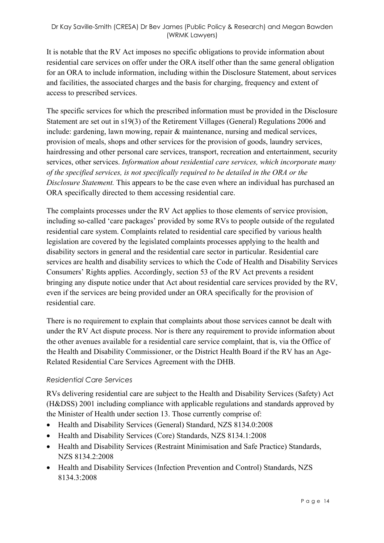It is notable that the RV Act imposes no specific obligations to provide information about residential care services on offer under the ORA itself other than the same general obligation for an ORA to include information, including within the Disclosure Statement, about services and facilities, the associated charges and the basis for charging, frequency and extent of access to prescribed services.

The specific services for which the prescribed information must be provided in the Disclosure Statement are set out in s19(3) of the Retirement Villages (General) Regulations 2006 and include: gardening, lawn mowing, repair & maintenance, nursing and medical services, provision of meals, shops and other services for the provision of goods, laundry services, hairdressing and other personal care services, transport, recreation and entertainment, security services, other services. *Information about residential care services, which incorporate many of the specified services, is not specifically required to be detailed in the ORA or the Disclosure Statement.* This appears to be the case even where an individual has purchased an ORA specifically directed to them accessing residential care.

The complaints processes under the RV Act applies to those elements of service provision, including so-called 'care packages' provided by some RVs to people outside of the regulated residential care system. Complaints related to residential care specified by various health legislation are covered by the legislated complaints processes applying to the health and disability sectors in general and the residential care sector in particular. Residential care services are health and disability services to which the Code of Health and Disability Services Consumers' Rights applies. Accordingly, section 53 of the RV Act prevents a resident bringing any dispute notice under that Act about residential care services provided by the RV, even if the services are being provided under an ORA specifically for the provision of residential care.

There is no requirement to explain that complaints about those services cannot be dealt with under the RV Act dispute process. Nor is there any requirement to provide information about the other avenues available for a residential care service complaint, that is, via the Office of the Health and Disability Commissioner, or the District Health Board if the RV has an Age-Related Residential Care Services Agreement with the DHB.

## *Residential Care Services*

RVs delivering residential care are subject to the Health and Disability Services (Safety) Act (H&DSS) 2001 including compliance with applicable regulations and standards approved by the Minister of Health under section 13. Those currently comprise of:

- Health and Disability Services (General) Standard, NZS 8134.0:2008
- Health and Disability Services (Core) Standards, NZS 8134.1:2008
- Health and Disability Services (Restraint Minimisation and Safe Practice) Standards, NZS 8134.2:2008
- Health and Disability Services (Infection Prevention and Control) Standards, NZS 8134.3:2008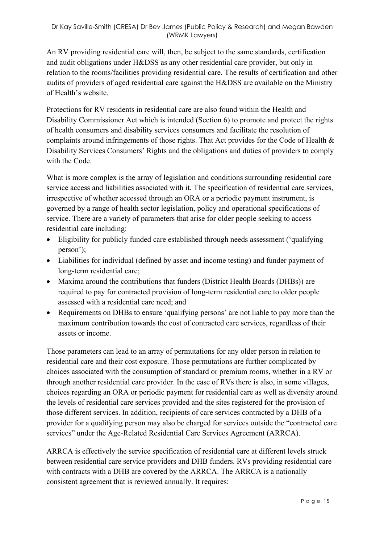An RV providing residential care will, then, be subject to the same standards, certification and audit obligations under H&DSS as any other residential care provider, but only in relation to the rooms/facilities providing residential care. The results of certification and other audits of providers of aged residential care against the H&DSS are available on the Ministry of Health's website.

Protections for RV residents in residential care are also found within the Health and Disability Commissioner Act which is intended (Section 6) to promote and protect the rights of health consumers and disability services consumers and facilitate the resolution of complaints around infringements of those rights. That Act provides for the Code of Health & Disability Services Consumers' Rights and the obligations and duties of providers to comply with the Code.

What is more complex is the array of legislation and conditions surrounding residential care service access and liabilities associated with it. The specification of residential care services, irrespective of whether accessed through an ORA or a periodic payment instrument, is governed by a range of health sector legislation, policy and operational specifications of service. There are a variety of parameters that arise for older people seeking to access residential care including:

- Eligibility for publicly funded care established through needs assessment ('qualifying person');
- Liabilities for individual (defined by asset and income testing) and funder payment of long-term residential care;
- Maxima around the contributions that funders (District Health Boards (DHBs)) are required to pay for contracted provision of long-term residential care to older people assessed with a residential care need; and
- Requirements on DHBs to ensure 'qualifying persons' are not liable to pay more than the maximum contribution towards the cost of contracted care services, regardless of their assets or income.

Those parameters can lead to an array of permutations for any older person in relation to residential care and their cost exposure. Those permutations are further complicated by choices associated with the consumption of standard or premium rooms, whether in a RV or through another residential care provider. In the case of RVs there is also, in some villages, choices regarding an ORA or periodic payment for residential care as well as diversity around the levels of residential care services provided and the sites registered for the provision of those different services. In addition, recipients of care services contracted by a DHB of a provider for a qualifying person may also be charged for services outside the "contracted care services" under the Age-Related Residential Care Services Agreement (ARRCA).

ARRCA is effectively the service specification of residential care at different levels struck between residential care service providers and DHB funders. RVs providing residential care with contracts with a DHB are covered by the ARRCA. The ARRCA is a nationally consistent agreement that is reviewed annually. It requires: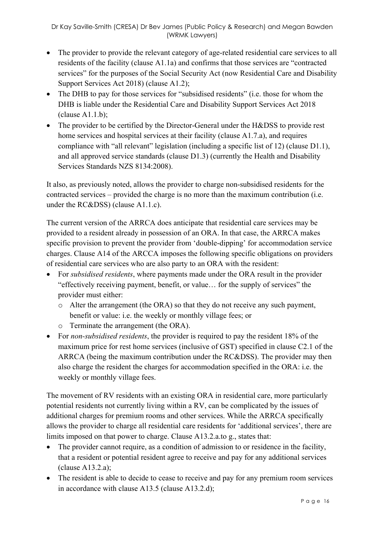- The provider to provide the relevant category of age-related residential care services to all residents of the facility (clause A1.1a) and confirms that those services are "contracted services" for the purposes of the Social Security Act (now Residential Care and Disability Support Services Act 2018) (clause A1.2);
- The DHB to pay for those services for "subsidised residents" (i.e. those for whom the DHB is liable under the Residential Care and Disability Support Services Act 2018  $clause A1.1.b);$
- The provider to be certified by the Director-General under the H&DSS to provide rest home services and hospital services at their facility (clause A1.7.a), and requires compliance with "all relevant" legislation (including a specific list of 12) (clause D1.1), and all approved service standards (clause D1.3) (currently the Health and Disability Services Standards NZS 8134:2008).

It also, as previously noted, allows the provider to charge non-subsidised residents for the contracted services – provided the charge is no more than the maximum contribution (i.e. under the RC&DSS) (clause A1.1.c).

The current version of the ARRCA does anticipate that residential care services may be provided to a resident already in possession of an ORA. In that case, the ARRCA makes specific provision to prevent the provider from 'double-dipping' for accommodation service charges. Clause A14 of the ARCCA imposes the following specific obligations on providers of residential care services who are also party to an ORA with the resident:

- For *subsidised residents*, where payments made under the ORA result in the provider "effectively receiving payment, benefit, or value… for the supply of services" the provider must either:
	- o Alter the arrangement (the ORA) so that they do not receive any such payment, benefit or value: i.e. the weekly or monthly village fees; or
	- o Terminate the arrangement (the ORA).
- For *non-subsidised residents*, the provider is required to pay the resident 18% of the maximum price for rest home services (inclusive of GST) specified in clause C2.1 of the ARRCA (being the maximum contribution under the RC&DSS). The provider may then also charge the resident the charges for accommodation specified in the ORA: i.e. the weekly or monthly village fees.

The movement of RV residents with an existing ORA in residential care, more particularly potential residents not currently living within a RV, can be complicated by the issues of additional charges for premium rooms and other services. While the ARRCA specifically allows the provider to charge all residential care residents for 'additional services', there are limits imposed on that power to charge. Clause A13.2.a.to g., states that:

- The provider cannot require, as a condition of admission to or residence in the facility, that a resident or potential resident agree to receive and pay for any additional services (clause A13.2.a);
- The resident is able to decide to cease to receive and pay for any premium room services in accordance with clause A13.5 (clause A13.2.d);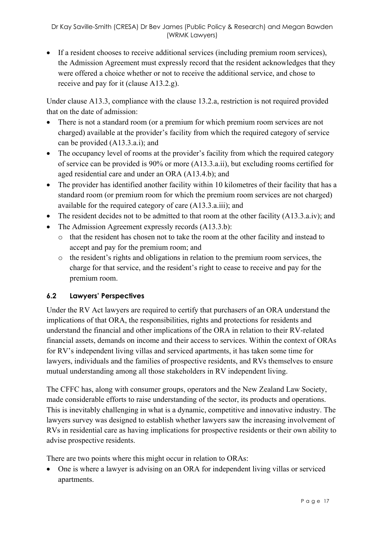• If a resident chooses to receive additional services (including premium room services), the Admission Agreement must expressly record that the resident acknowledges that they were offered a choice whether or not to receive the additional service, and chose to receive and pay for it (clause A13.2.g).

Under clause A13.3, compliance with the clause 13.2.a, restriction is not required provided that on the date of admission:

- There is not a standard room (or a premium for which premium room services are not charged) available at the provider's facility from which the required category of service can be provided (A13.3.a.i); and
- The occupancy level of rooms at the provider's facility from which the required category of service can be provided is 90% or more (A13.3.a.ii), but excluding rooms certified for aged residential care and under an ORA (A13.4.b); and
- The provider has identified another facility within 10 kilometres of their facility that has a standard room (or premium room for which the premium room services are not charged) available for the required category of care (A13.3.a.iii); and
- The resident decides not to be admitted to that room at the other facility (A13.3.a.iv); and
- The Admission Agreement expressly records (A13.3.b):
	- o that the resident has chosen not to take the room at the other facility and instead to accept and pay for the premium room; and
	- o the resident's rights and obligations in relation to the premium room services, the charge for that service, and the resident's right to cease to receive and pay for the premium room.

## **6.2 Lawyers' Perspectives**

Under the RV Act lawyers are required to certify that purchasers of an ORA understand the implications of that ORA, the responsibilities, rights and protections for residents and understand the financial and other implications of the ORA in relation to their RV-related financial assets, demands on income and their access to services. Within the context of ORAs for RV's independent living villas and serviced apartments, it has taken some time for lawyers, individuals and the families of prospective residents, and RVs themselves to ensure mutual understanding among all those stakeholders in RV independent living.

The CFFC has, along with consumer groups, operators and the New Zealand Law Society, made considerable efforts to raise understanding of the sector, its products and operations. This is inevitably challenging in what is a dynamic, competitive and innovative industry. The lawyers survey was designed to establish whether lawyers saw the increasing involvement of RVs in residential care as having implications for prospective residents or their own ability to advise prospective residents.

There are two points where this might occur in relation to ORAs:

• One is where a lawyer is advising on an ORA for independent living villas or serviced apartments.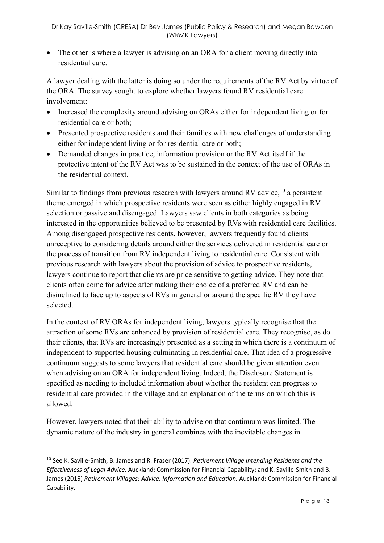• The other is where a lawyer is advising on an ORA for a client moving directly into residential care.

A lawyer dealing with the latter is doing so under the requirements of the RV Act by virtue of the ORA. The survey sought to explore whether lawyers found RV residential care involvement:

- Increased the complexity around advising on ORAs either for independent living or for residential care or both;
- Presented prospective residents and their families with new challenges of understanding either for independent living or for residential care or both;
- Demanded changes in practice, information provision or the RV Act itself if the protective intent of the RV Act was to be sustained in the context of the use of ORAs in the residential context.

Similar to findings from previous research with lawyers around RV advice,  $10$  a persistent theme emerged in which prospective residents were seen as either highly engaged in RV selection or passive and disengaged. Lawyers saw clients in both categories as being interested in the opportunities believed to be presented by RVs with residential care facilities. Among disengaged prospective residents, however, lawyers frequently found clients unreceptive to considering details around either the services delivered in residential care or the process of transition from RV independent living to residential care. Consistent with previous research with lawyers about the provision of advice to prospective residents, lawyers continue to report that clients are price sensitive to getting advice. They note that clients often come for advice after making their choice of a preferred RV and can be disinclined to face up to aspects of RVs in general or around the specific RV they have selected.

In the context of RV ORAs for independent living, lawyers typically recognise that the attraction of some RVs are enhanced by provision of residential care. They recognise, as do their clients, that RVs are increasingly presented as a setting in which there is a continuum of independent to supported housing culminating in residential care. That idea of a progressive continuum suggests to some lawyers that residential care should be given attention even when advising on an ORA for independent living. Indeed, the Disclosure Statement is specified as needing to included information about whether the resident can progress to residential care provided in the village and an explanation of the terms on which this is allowed.

However, lawyers noted that their ability to advise on that continuum was limited. The dynamic nature of the industry in general combines with the inevitable changes in

 $\overline{a}$ 

<sup>10</sup> See K. Saville-Smith, B. James and R. Fraser (2017). *Retirement Village Intending Residents and the Effectiveness of Legal Advice.* Auckland: Commission for Financial Capability; and K. Saville-Smith and B. James (2015) *Retirement Villages: Advice, Information and Education.* Auckland: Commission for Financial Capability.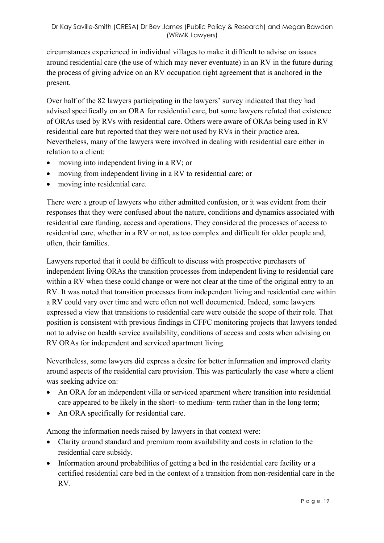circumstances experienced in individual villages to make it difficult to advise on issues around residential care (the use of which may never eventuate) in an RV in the future during the process of giving advice on an RV occupation right agreement that is anchored in the present.

Over half of the 82 lawyers participating in the lawyers' survey indicated that they had advised specifically on an ORA for residential care, but some lawyers refuted that existence of ORAs used by RVs with residential care. Others were aware of ORAs being used in RV residential care but reported that they were not used by RVs in their practice area. Nevertheless, many of the lawyers were involved in dealing with residential care either in relation to a client:

- moving into independent living in a RV; or
- moving from independent living in a RV to residential care; or
- moving into residential care.

There were a group of lawyers who either admitted confusion, or it was evident from their responses that they were confused about the nature, conditions and dynamics associated with residential care funding, access and operations. They considered the processes of access to residential care, whether in a RV or not, as too complex and difficult for older people and, often, their families.

Lawyers reported that it could be difficult to discuss with prospective purchasers of independent living ORAs the transition processes from independent living to residential care within a RV when these could change or were not clear at the time of the original entry to an RV. It was noted that transition processes from independent living and residential care within a RV could vary over time and were often not well documented. Indeed, some lawyers expressed a view that transitions to residential care were outside the scope of their role. That position is consistent with previous findings in CFFC monitoring projects that lawyers tended not to advise on health service availability, conditions of access and costs when advising on RV ORAs for independent and serviced apartment living.

Nevertheless, some lawyers did express a desire for better information and improved clarity around aspects of the residential care provision. This was particularly the case where a client was seeking advice on:

- An ORA for an independent villa or serviced apartment where transition into residential care appeared to be likely in the short- to medium- term rather than in the long term;
- An ORA specifically for residential care.

Among the information needs raised by lawyers in that context were:

- Clarity around standard and premium room availability and costs in relation to the residential care subsidy.
- Information around probabilities of getting a bed in the residential care facility or a certified residential care bed in the context of a transition from non-residential care in the RV.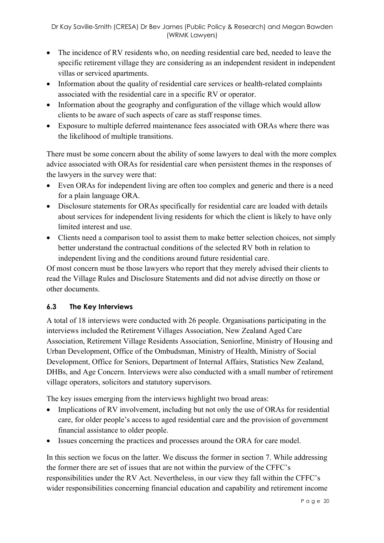- The incidence of RV residents who, on needing residential care bed, needed to leave the specific retirement village they are considering as an independent resident in independent villas or serviced apartments.
- Information about the quality of residential care services or health-related complaints associated with the residential care in a specific RV or operator.
- Information about the geography and configuration of the village which would allow clients to be aware of such aspects of care as staff response times.
- Exposure to multiple deferred maintenance fees associated with ORAs where there was the likelihood of multiple transitions.

There must be some concern about the ability of some lawyers to deal with the more complex advice associated with ORAs for residential care when persistent themes in the responses of the lawyers in the survey were that:

- Even ORAs for independent living are often too complex and generic and there is a need for a plain language ORA.
- Disclosure statements for ORAs specifically for residential care are loaded with details about services for independent living residents for which the client is likely to have only limited interest and use.
- Clients need a comparison tool to assist them to make better selection choices, not simply better understand the contractual conditions of the selected RV both in relation to independent living and the conditions around future residential care.

Of most concern must be those lawyers who report that they merely advised their clients to read the Village Rules and Disclosure Statements and did not advise directly on those or other documents.

## **6.3 The Key Interviews**

A total of 18 interviews were conducted with 26 people. Organisations participating in the interviews included the Retirement Villages Association, New Zealand Aged Care Association, Retirement Village Residents Association, Seniorline, Ministry of Housing and Urban Development, Office of the Ombudsman, Ministry of Health, Ministry of Social Development, Office for Seniors, Department of Internal Affairs, Statistics New Zealand, DHBs, and Age Concern. Interviews were also conducted with a small number of retirement village operators, solicitors and statutory supervisors.

The key issues emerging from the interviews highlight two broad areas:

- Implications of RV involvement, including but not only the use of ORAs for residential care, for older people's access to aged residential care and the provision of government financial assistance to older people.
- Issues concerning the practices and processes around the ORA for care model.

In this section we focus on the latter. We discuss the former in section 7. While addressing the former there are set of issues that are not within the purview of the CFFC's responsibilities under the RV Act. Nevertheless, in our view they fall within the CFFC's wider responsibilities concerning financial education and capability and retirement income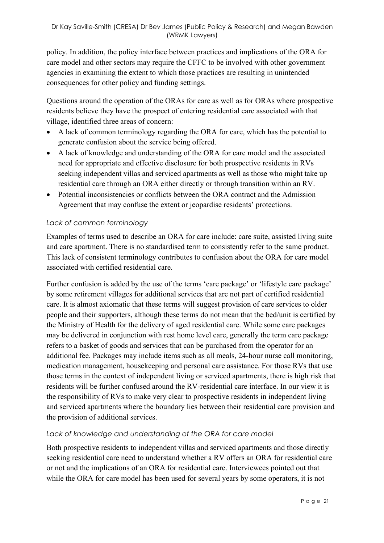policy. In addition, the policy interface between practices and implications of the ORA for care model and other sectors may require the CFFC to be involved with other government agencies in examining the extent to which those practices are resulting in unintended consequences for other policy and funding settings.

Questions around the operation of the ORAs for care as well as for ORAs where prospective residents believe they have the prospect of entering residential care associated with that village, identified three areas of concern:

- A lack of common terminology regarding the ORA for care, which has the potential to generate confusion about the service being offered.
- A lack of knowledge and understanding of the ORA for care model and the associated need for appropriate and effective disclosure for both prospective residents in RVs seeking independent villas and serviced apartments as well as those who might take up residential care through an ORA either directly or through transition within an RV.
- Potential inconsistencies or conflicts between the ORA contract and the Admission Agreement that may confuse the extent or jeopardise residents' protections.

#### *Lack of common terminology*

Examples of terms used to describe an ORA for care include: care suite, assisted living suite and care apartment. There is no standardised term to consistently refer to the same product. This lack of consistent terminology contributes to confusion about the ORA for care model associated with certified residential care.

Further confusion is added by the use of the terms 'care package' or 'lifestyle care package' by some retirement villages for additional services that are not part of certified residential care. It is almost axiomatic that these terms will suggest provision of care services to older people and their supporters, although these terms do not mean that the bed/unit is certified by the Ministry of Health for the delivery of aged residential care. While some care packages may be delivered in conjunction with rest home level care, generally the term care package refers to a basket of goods and services that can be purchased from the operator for an additional fee. Packages may include items such as all meals, 24-hour nurse call monitoring, medication management, housekeeping and personal care assistance. For those RVs that use those terms in the context of independent living or serviced apartments, there is high risk that residents will be further confused around the RV-residential care interface. In our view it is the responsibility of RVs to make very clear to prospective residents in independent living and serviced apartments where the boundary lies between their residential care provision and the provision of additional services.

#### *Lack of knowledge and understanding of the ORA for care model*

Both prospective residents to independent villas and serviced apartments and those directly seeking residential care need to understand whether a RV offers an ORA for residential care or not and the implications of an ORA for residential care. Interviewees pointed out that while the ORA for care model has been used for several years by some operators, it is not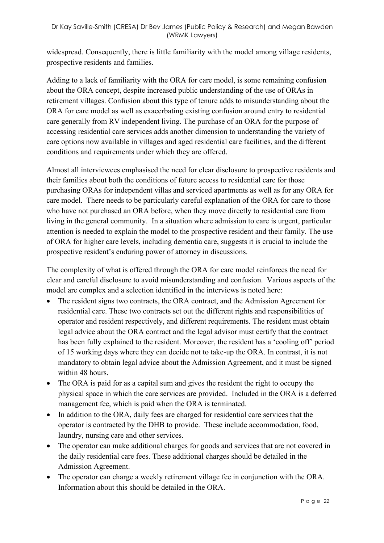widespread. Consequently, there is little familiarity with the model among village residents, prospective residents and families.

Adding to a lack of familiarity with the ORA for care model, is some remaining confusion about the ORA concept, despite increased public understanding of the use of ORAs in retirement villages. Confusion about this type of tenure adds to misunderstanding about the ORA for care model as well as exacerbating existing confusion around entry to residential care generally from RV independent living. The purchase of an ORA for the purpose of accessing residential care services adds another dimension to understanding the variety of care options now available in villages and aged residential care facilities, and the different conditions and requirements under which they are offered.

Almost all interviewees emphasised the need for clear disclosure to prospective residents and their families about both the conditions of future access to residential care for those purchasing ORAs for independent villas and serviced apartments as well as for any ORA for care model. There needs to be particularly careful explanation of the ORA for care to those who have not purchased an ORA before, when they move directly to residential care from living in the general community. In a situation where admission to care is urgent, particular attention is needed to explain the model to the prospective resident and their family. The use of ORA for higher care levels, including dementia care, suggests it is crucial to include the prospective resident's enduring power of attorney in discussions.

The complexity of what is offered through the ORA for care model reinforces the need for clear and careful disclosure to avoid misunderstanding and confusion. Various aspects of the model are complex and a selection identified in the interviews is noted here:

- The resident signs two contracts, the ORA contract, and the Admission Agreement for residential care. These two contracts set out the different rights and responsibilities of operator and resident respectively, and different requirements. The resident must obtain legal advice about the ORA contract and the legal advisor must certify that the contract has been fully explained to the resident. Moreover, the resident has a 'cooling off' period of 15 working days where they can decide not to take-up the ORA. In contrast, it is not mandatory to obtain legal advice about the Admission Agreement, and it must be signed within 48 hours.
- The ORA is paid for as a capital sum and gives the resident the right to occupy the physical space in which the care services are provided. Included in the ORA is a deferred management fee, which is paid when the ORA is terminated.
- In addition to the ORA, daily fees are charged for residential care services that the operator is contracted by the DHB to provide. These include accommodation, food, laundry, nursing care and other services.
- The operator can make additional charges for goods and services that are not covered in the daily residential care fees. These additional charges should be detailed in the Admission Agreement.
- The operator can charge a weekly retirement village fee in conjunction with the ORA. Information about this should be detailed in the ORA.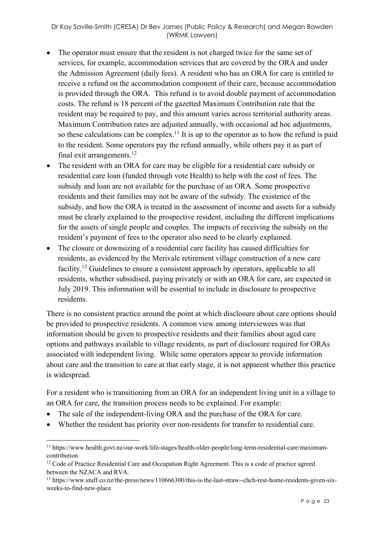- The operator must ensure that the resident is not charged twice for the same set of services, for example, accommodation services that are covered by the ORA and under the Admission Agreement (daily fees). A resident who has an ORA for care is entitled to receive a refund on the accommodation component of their care, because accommodation is provided through the ORA. This refund is to avoid double payment of accommodation costs. The refund is 18 percent of the gazetted Maximum Contribution rate that the resident may be required to pay, and this amount varies across territorial authority areas. Maximum Contribution rates are adjusted annually, with occasional ad hoc adjustments, so these calculations can be complex.<sup>11</sup> It is up to the operator as to how the refund is paid to the resident. Some operators pay the refund annually, while others pay it as part of final exit arrangements. $12$
- The resident with an ORA for care may be eligible for a residential care subsidy or residential care loan (funded through vote Health) to help with the cost of fees. The subsidy and loan are not available for the purchase of an ORA. Some prospective residents and their families may not be aware of the subsidy. The existence of the subsidy, and how the ORA is treated in the assessment of income and assets for a subsidy must be clearly explained to the prospective resident, including the different implications for the assets of single people and couples. The impacts of receiving the subsidy on the resident's payment of fees to the operator also need to be clearly explained.
- The closure or downsizing of a residential care facility has caused difficulties for residents, as evidenced by the Merivale retirement village construction of a new care facility.<sup>13</sup> Guidelines to ensure a consistent approach by operators, applicable to all residents, whether subsidised, paying privately or with an ORA for care, are expected in July 2019. This information will be essential to include in disclosure to prospective residents.

There is no consistent practice around the point at which disclosure about care options should be provided to prospective residents. A common view among interviewees was that information should be given to prospective residents and their families about aged care options and pathways available to village residents, as part of disclosure required for ORAs associated with independent living. While some operators appear to provide information about care and the transition to care at that early stage, it is not apparent whether this practice is widespread.

For a resident who is transitioning from an ORA for an independent living unit in a village to an ORA for care, the transition process needs to be explained. For example:

• The sale of the independent-living ORA and the purchase of the ORA for care.

• Whether the resident has priority over non-residents for transfer to residential care.

<sup>11</sup> https://www.health.govt.nz/our-work/life-stages/health-older-people/long-term-residential-care/maximumcontribution

<sup>&</sup>lt;sup>12</sup> Code of Practice Residential Care and Occupation Right Agreement. This is a code of practice agreed between the NZACA and RVA.

<sup>13</sup> https://www.stuff.co.nz/the-press/news/110666300/this-is-the-last-straw--chch-rest-home-residents-given-sixweeks-to-find-new-place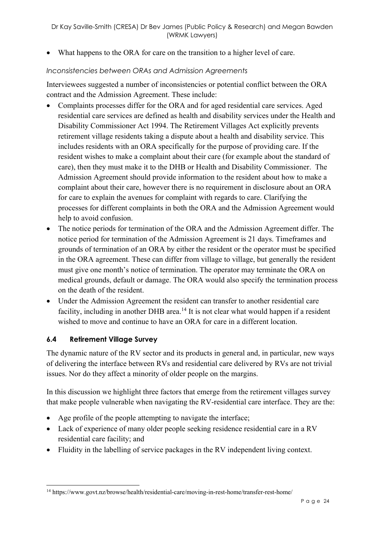• What happens to the ORA for care on the transition to a higher level of care.

#### *Inconsistencies between ORAs and Admission Agreements*

Interviewees suggested a number of inconsistencies or potential conflict between the ORA contract and the Admission Agreement. These include:

- Complaints processes differ for the ORA and for aged residential care services. Aged residential care services are defined as health and disability services under the Health and Disability Commissioner Act 1994. The Retirement Villages Act explicitly prevents retirement village residents taking a dispute about a health and disability service. This includes residents with an ORA specifically for the purpose of providing care. If the resident wishes to make a complaint about their care (for example about the standard of care), then they must make it to the DHB or Health and Disability Commissioner. The Admission Agreement should provide information to the resident about how to make a complaint about their care, however there is no requirement in disclosure about an ORA for care to explain the avenues for complaint with regards to care. Clarifying the processes for different complaints in both the ORA and the Admission Agreement would help to avoid confusion.
- The notice periods for termination of the ORA and the Admission Agreement differ. The notice period for termination of the Admission Agreement is 21 days. Timeframes and grounds of termination of an ORA by either the resident or the operator must be specified in the ORA agreement. These can differ from village to village, but generally the resident must give one month's notice of termination. The operator may terminate the ORA on medical grounds, default or damage. The ORA would also specify the termination process on the death of the resident.
- Under the Admission Agreement the resident can transfer to another residential care facility, including in another DHB area.<sup>14</sup> It is not clear what would happen if a resident wished to move and continue to have an ORA for care in a different location.

## **6.4 Retirement Village Survey**

The dynamic nature of the RV sector and its products in general and, in particular, new ways of delivering the interface between RVs and residential care delivered by RVs are not trivial issues. Nor do they affect a minority of older people on the margins.

In this discussion we highlight three factors that emerge from the retirement villages survey that make people vulnerable when navigating the RV-residential care interface. They are the:

- Age profile of the people attempting to navigate the interface;
- Lack of experience of many older people seeking residence residential care in a RV residential care facility; and
- Fluidity in the labelling of service packages in the RV independent living context.

<sup>14</sup> https://www.govt.nz/browse/health/residential-care/moving-in-rest-home/transfer-rest-home/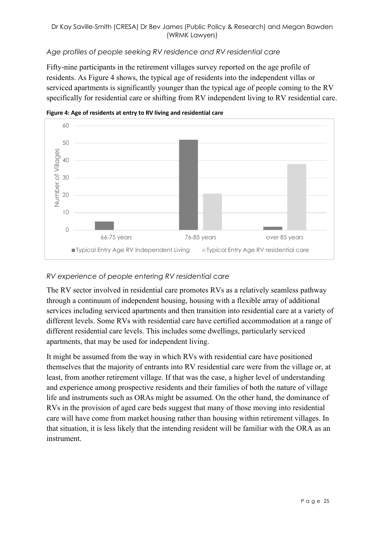#### *Age profiles of people seeking RV residence and RV residential care*

Fifty-nine participants in the retirement villages survey reported on the age profile of residents. As Figure 4 shows, the typical age of residents into the independent villas or serviced apartments is significantly younger than the typical age of people coming to the RV specifically for residential care or shifting from RV independent living to RV residential care.





## *RV experience of people entering RV residential care*

The RV sector involved in residential care promotes RVs as a relatively seamless pathway through a continuum of independent housing, housing with a flexible array of additional services including serviced apartments and then transition into residential care at a variety of different levels. Some RVs with residential care have certified accommodation at a range of different residential care levels. This includes some dwellings, particularly serviced apartments, that may be used for independent living.

It might be assumed from the way in which RVs with residential care have positioned themselves that the majority of entrants into RV residential care were from the village or, at least, from another retirement village. If that was the case, a higher level of understanding and experience among prospective residents and their families of both the nature of village life and instruments such as ORAs might be assumed. On the other hand, the dominance of RVs in the provision of aged care beds suggest that many of those moving into residential care will have come from market housing rather than housing within retirement villages. In that situation, it is less likely that the intending resident will be familiar with the ORA as an instrument.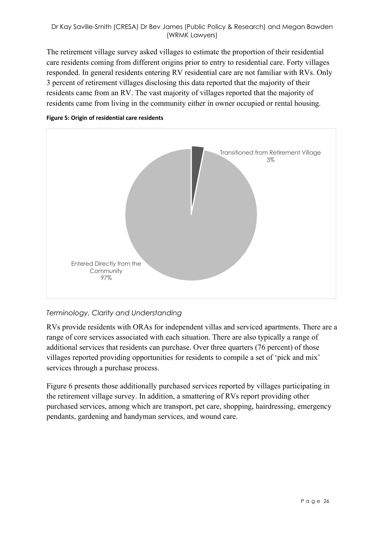#### Dr Kay Saville-Smith (CRESA) Dr Bev James (Public Policy & Research) and Megan Bawden (WRMK Lawyers)

The retirement village survey asked villages to estimate the proportion of their residential care residents coming from different origins prior to entry to residential care. Forty villages responded. In general residents entering RV residential care are not familiar with RVs. Only 3 percent of retirement villages disclosing this data reported that the majority of their residents came from an RV. The vast majority of villages reported that the majority of residents came from living in the community either in owner occupied or rental housing.





#### *Terminology, Clarity and Understanding*

RVs provide residents with ORAs for independent villas and serviced apartments. There are a range of core services associated with each situation. There are also typically a range of additional services that residents can purchase. Over three quarters (76 percent) of those villages reported providing opportunities for residents to compile a set of 'pick and mix' services through a purchase process.

Figure 6 presents those additionally purchased services reported by villages participating in the retirement village survey. In addition, a smattering of RVs report providing other purchased services, among which are transport, pet care, shopping, hairdressing, emergency pendants, gardening and handyman services, and wound care.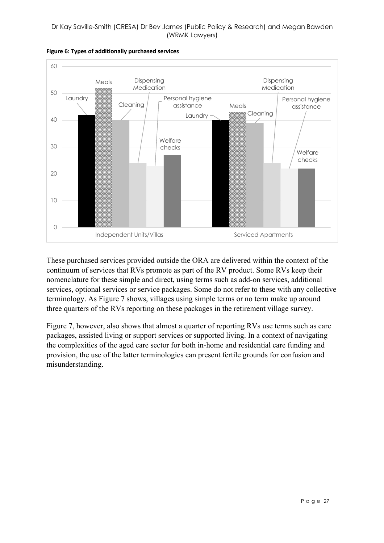

**Figure 6: Types of additionally purchased services**

These purchased services provided outside the ORA are delivered within the context of the continuum of services that RVs promote as part of the RV product. Some RVs keep their nomenclature for these simple and direct, using terms such as add-on services, additional services, optional services or service packages. Some do not refer to these with any collective terminology. As Figure 7 shows, villages using simple terms or no term make up around three quarters of the RVs reporting on these packages in the retirement village survey.

Figure 7, however, also shows that almost a quarter of reporting RVs use terms such as care packages, assisted living or support services or supported living. In a context of navigating the complexities of the aged care sector for both in-home and residential care funding and provision, the use of the latter terminologies can present fertile grounds for confusion and misunderstanding.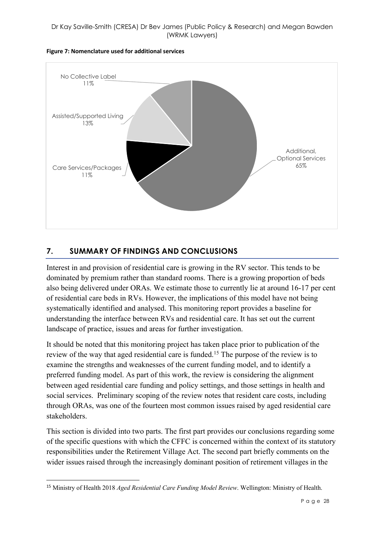

#### **Figure 7: Nomenclature used for additional services**

## **7. SUMMARY OF FINDINGS AND CONCLUSIONS**

Interest in and provision of residential care is growing in the RV sector. This tends to be dominated by premium rather than standard rooms. There is a growing proportion of beds also being delivered under ORAs. We estimate those to currently lie at around 16-17 per cent of residential care beds in RVs. However, the implications of this model have not being systematically identified and analysed. This monitoring report provides a baseline for understanding the interface between RVs and residential care. It has set out the current landscape of practice, issues and areas for further investigation.

It should be noted that this monitoring project has taken place prior to publication of the review of the way that aged residential care is funded.15 The purpose of the review is to examine the strengths and weaknesses of the current funding model, and to identify a preferred funding model. As part of this work, the review is considering the alignment between aged residential care funding and policy settings, and those settings in health and social services. Preliminary scoping of the review notes that resident care costs, including through ORAs, was one of the fourteen most common issues raised by aged residential care stakeholders.

This section is divided into two parts. The first part provides our conclusions regarding some of the specific questions with which the CFFC is concerned within the context of its statutory responsibilities under the Retirement Village Act. The second part briefly comments on the wider issues raised through the increasingly dominant position of retirement villages in the

<sup>15</sup> Ministry of Health 2018 *Aged Residential Care Funding Model Review*. Wellington: Ministry of Health.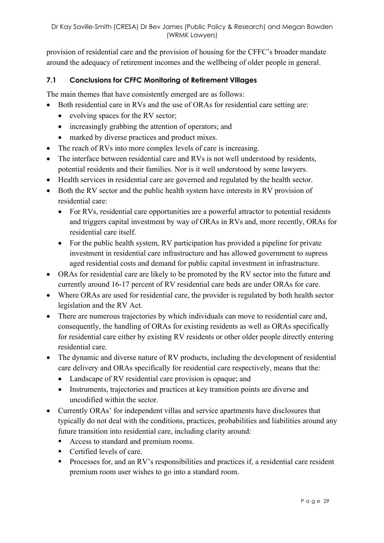provision of residential care and the provision of housing for the CFFC's broader mandate around the adequacy of retirement incomes and the wellbeing of older people in general.

#### **7.1 Conclusions for CFFC Monitoring of Retirement Villages**

The main themes that have consistently emerged are as follows:

- Both residential care in RVs and the use of ORAs for residential care setting are:
	- evolving spaces for the RV sector;
	- increasingly grabbing the attention of operators; and
	- marked by diverse practices and product mixes.
- The reach of RVs into more complex levels of care is increasing.
- The interface between residential care and RVs is not well understood by residents, potential residents and their families. Nor is it well understood by some lawyers.
- Health services in residential care are governed and regulated by the health sector.
- Both the RV sector and the public health system have interests in RV provision of residential care:
	- For RVs, residential care opportunities are a powerful attractor to potential residents and triggers capital investment by way of ORAs in RVs and, more recently, ORAs for residential care itself.
	- For the public health system, RV participation has provided a pipeline for private investment in residential care infrastructure and has allowed government to supress aged residential costs and demand for public capital investment in infrastructure.
- ORAs for residential care are likely to be promoted by the RV sector into the future and currently around 16-17 percent of RV residential care beds are under ORAs for care.
- Where ORAs are used for residential care, the provider is regulated by both health sector legislation and the RV Act.
- There are numerous trajectories by which individuals can move to residential care and, consequently, the handling of ORAs for existing residents as well as ORAs specifically for residential care either by existing RV residents or other older people directly entering residential care.
- The dynamic and diverse nature of RV products, including the development of residential care delivery and ORAs specifically for residential care respectively, means that the:
	- Landscape of RV residential care provision is opaque; and
	- Instruments, trajectories and practices at key transition points are diverse and uncodified within the sector.
- Currently ORAs' for independent villas and service apartments have disclosures that typically do not deal with the conditions, practices, probabilities and liabilities around any future transition into residential care, including clarity around:
	- Access to standard and premium rooms.
	- Certified levels of care.
	- Processes for, and an RV's responsibilities and practices if, a residential care resident premium room user wishes to go into a standard room.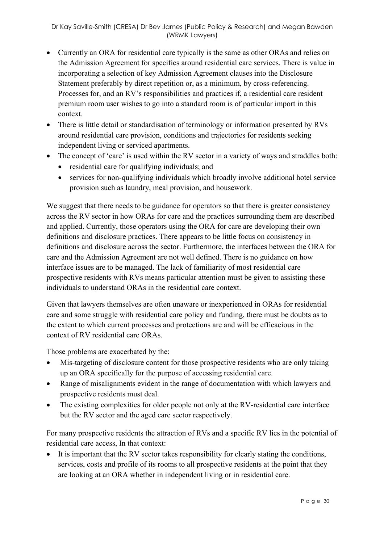- Currently an ORA for residential care typically is the same as other ORAs and relies on the Admission Agreement for specifics around residential care services. There is value in incorporating a selection of key Admission Agreement clauses into the Disclosure Statement preferably by direct repetition or, as a minimum, by cross-referencing. Processes for, and an RV's responsibilities and practices if, a residential care resident premium room user wishes to go into a standard room is of particular import in this context.
- There is little detail or standardisation of terminology or information presented by RVs around residential care provision, conditions and trajectories for residents seeking independent living or serviced apartments.
- The concept of 'care' is used within the RV sector in a variety of ways and straddles both:
	- residential care for qualifying individuals; and
	- services for non-qualifying individuals which broadly involve additional hotel service provision such as laundry, meal provision, and housework.

We suggest that there needs to be guidance for operators so that there is greater consistency across the RV sector in how ORAs for care and the practices surrounding them are described and applied. Currently, those operators using the ORA for care are developing their own definitions and disclosure practices. There appears to be little focus on consistency in definitions and disclosure across the sector. Furthermore, the interfaces between the ORA for care and the Admission Agreement are not well defined. There is no guidance on how interface issues are to be managed. The lack of familiarity of most residential care prospective residents with RVs means particular attention must be given to assisting these individuals to understand ORAs in the residential care context.

Given that lawyers themselves are often unaware or inexperienced in ORAs for residential care and some struggle with residential care policy and funding, there must be doubts as to the extent to which current processes and protections are and will be efficacious in the context of RV residential care ORAs.

Those problems are exacerbated by the:

- Mis-targeting of disclosure content for those prospective residents who are only taking up an ORA specifically for the purpose of accessing residential care.
- Range of misalignments evident in the range of documentation with which lawyers and prospective residents must deal.
- The existing complexities for older people not only at the RV-residential care interface but the RV sector and the aged care sector respectively.

For many prospective residents the attraction of RVs and a specific RV lies in the potential of residential care access, In that context:

• It is important that the RV sector takes responsibility for clearly stating the conditions, services, costs and profile of its rooms to all prospective residents at the point that they are looking at an ORA whether in independent living or in residential care.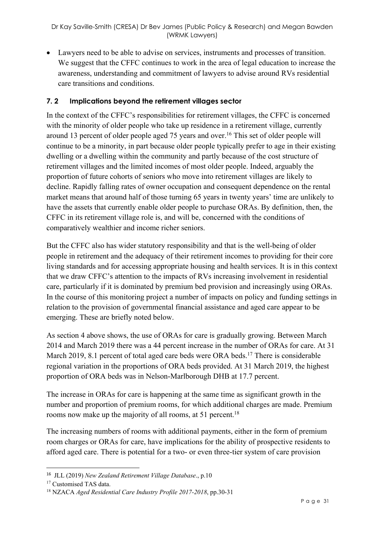• Lawyers need to be able to advise on services, instruments and processes of transition. We suggest that the CFFC continues to work in the area of legal education to increase the awareness, understanding and commitment of lawyers to advise around RVs residential care transitions and conditions.

#### **7. 2 Implications beyond the retirement villages sector**

In the context of the CFFC's responsibilities for retirement villages, the CFFC is concerned with the minority of older people who take up residence in a retirement village, currently around 13 percent of older people aged 75 years and over. <sup>16</sup> This set of older people will continue to be a minority, in part because older people typically prefer to age in their existing dwelling or a dwelling within the community and partly because of the cost structure of retirement villages and the limited incomes of most older people. Indeed, arguably the proportion of future cohorts of seniors who move into retirement villages are likely to decline. Rapidly falling rates of owner occupation and consequent dependence on the rental market means that around half of those turning 65 years in twenty years' time are unlikely to have the assets that currently enable older people to purchase ORAs. By definition, then, the CFFC in its retirement village role is, and will be, concerned with the conditions of comparatively wealthier and income richer seniors.

But the CFFC also has wider statutory responsibility and that is the well-being of older people in retirement and the adequacy of their retirement incomes to providing for their core living standards and for accessing appropriate housing and health services. It is in this context that we draw CFFC's attention to the impacts of RVs increasing involvement in residential care, particularly if it is dominated by premium bed provision and increasingly using ORAs. In the course of this monitoring project a number of impacts on policy and funding settings in relation to the provision of governmental financial assistance and aged care appear to be emerging. These are briefly noted below.

As section 4 above shows, the use of ORAs for care is gradually growing. Between March 2014 and March 2019 there was a 44 percent increase in the number of ORAs for care. At 31 March 2019, 8.1 percent of total aged care beds were ORA beds.<sup>17</sup> There is considerable regional variation in the proportions of ORA beds provided. At 31 March 2019, the highest proportion of ORA beds was in Nelson-Marlborough DHB at 17.7 percent.

The increase in ORAs for care is happening at the same time as significant growth in the number and proportion of premium rooms, for which additional charges are made. Premium rooms now make up the majority of all rooms, at 51 percent.<sup>18</sup>

The increasing numbers of rooms with additional payments, either in the form of premium room charges or ORAs for care, have implications for the ability of prospective residents to afford aged care. There is potential for a two- or even three-tier system of care provision

<sup>16</sup> JLL (2019) *New Zealand Retirement Village Database*., p.10

<sup>&</sup>lt;sup>17</sup> Customised TAS data.

<sup>18</sup> NZACA *Aged Residential Care Industry Profile 2017-2018*, pp.30-31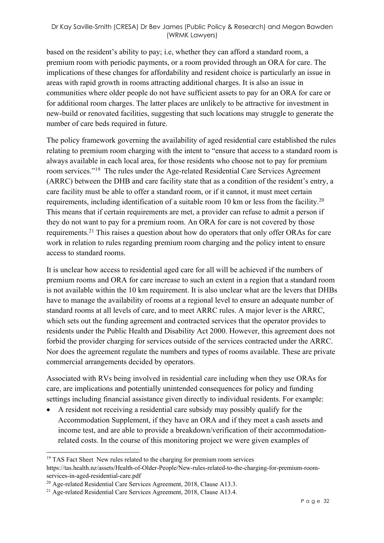#### Dr Kay Saville-Smith (CRESA) Dr Bev James (Public Policy & Research) and Megan Bawden (WRMK Lawyers)

based on the resident's ability to pay; i.e, whether they can afford a standard room, a premium room with periodic payments, or a room provided through an ORA for care. The implications of these changes for affordability and resident choice is particularly an issue in areas with rapid growth in rooms attracting additional charges. It is also an issue in communities where older people do not have sufficient assets to pay for an ORA for care or for additional room charges. The latter places are unlikely to be attractive for investment in new-build or renovated facilities, suggesting that such locations may struggle to generate the number of care beds required in future.

The policy framework governing the availability of aged residential care established the rules relating to premium room charging with the intent to "ensure that access to a standard room is always available in each local area, for those residents who choose not to pay for premium room services."19 The rules under the Age-related Residential Care Services Agreement (ARRC) between the DHB and care facility state that as a condition of the resident's entry, a care facility must be able to offer a standard room, or if it cannot, it must meet certain requirements, including identification of a suitable room 10 km or less from the facility.<sup>20</sup> This means that if certain requirements are met, a provider can refuse to admit a person if they do not want to pay for a premium room. An ORA for care is not covered by those requirements.21 This raises a question about how do operators that only offer ORAs for care work in relation to rules regarding premium room charging and the policy intent to ensure access to standard rooms.

It is unclear how access to residential aged care for all will be achieved if the numbers of premium rooms and ORA for care increase to such an extent in a region that a standard room is not available within the 10 km requirement. It is also unclear what are the levers that DHBs have to manage the availability of rooms at a regional level to ensure an adequate number of standard rooms at all levels of care, and to meet ARRC rules. A major lever is the ARRC, which sets out the funding agreement and contracted services that the operator provides to residents under the Public Health and Disability Act 2000. However, this agreement does not forbid the provider charging for services outside of the services contracted under the ARRC. Nor does the agreement regulate the numbers and types of rooms available. These are private commercial arrangements decided by operators.

Associated with RVs being involved in residential care including when they use ORAs for care, are implications and potentially unintended consequences for policy and funding settings including financial assistance given directly to individual residents. For example:

• A resident not receiving a residential care subsidy may possibly qualify for the Accommodation Supplement, if they have an ORA and if they meet a cash assets and income test, and are able to provide a breakdown/verification of their accommodationrelated costs. In the course of this monitoring project we were given examples of

<sup>&</sup>lt;sup>19</sup> TAS Fact Sheet New rules related to the charging for premium room services

https://tas.health.nz/assets/Health-of-Older-People/New-rules-related-to-the-charging-for-premium-roomservices-in-aged-residential-care.pdf

<sup>&</sup>lt;sup>20</sup> Age-related Residential Care Services Agreement, 2018, Clause A13.3.

<sup>&</sup>lt;sup>21</sup> Age-related Residential Care Services Agreement, 2018, Clause A13.4.